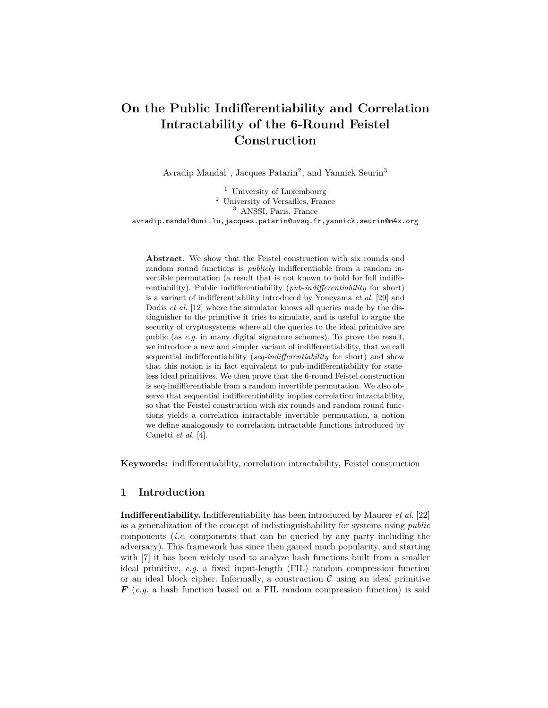# **On the Public Indifferentiability and Correlation Intractability of the 6-Round Feistel Construction**

Avradip Mandal<sup>1</sup>, Jacques Patarin<sup>2</sup>, and Yannick Seurin<sup>3</sup>

<sup>1</sup> University of Luxembourg <sup>2</sup> University of Versailles, France <sup>3</sup> ANSSI, Paris, France

avradip.mandal@uni.lu,jacques.patarin@uvsq.fr,yannick.seurin@m4x.org

**Abstract.** We show that the Feistel construction with six rounds and random round functions is *publicly* indifferentiable from a random invertible permutation (a result that is not known to hold for full indifferentiability). Public indifferentiability (*pub-indifferentiability* for short) is a variant of indifferentiability introduced by Yoneyama *et al.* [29] and Dodis *et al.* [12] where the simulator knows all queries made by the distinguisher to the primitive it tries to simulate, and is useful to argue the security of cryptosystems where all the queries to the ideal primitive are public (as *e.g.* in many digital signature schemes). To prove the result, we introduce a new and simpler variant of indifferentiability, that we call sequential indifferentiability (*seq-indifferentiability* for short) and show that this notion is in fact equivalent to pub-indifferentiability for stateless ideal primitives. We then prove that the 6-round Feistel construction is seq-indifferentiable from a random invertible permutation. We also observe that sequential indifferentiability implies correlation intractability, so that the Feistel construction with six rounds and random round functions yields a correlation intractable invertible permutation, a notion we define analogously to correlation intractable functions introduced by Canetti *et al.* [4].

**Keywords:** indifferentiability, correlation intractability, Feistel construction

# **1 Introduction**

**Indifferentiability.** Indifferentiability has been introduced by Maurer *et al.* [22] as a generalization of the concept of indistinguishability for systems using *public* components (*i.e.* components that can be queried by any party including the adversary). This framework has since then gained much popularity, and starting with [7] it has been widely used to analyze hash functions built from a smaller ideal primitive, *e.g.* a fixed input-length (FIL) random compression function or an ideal block cipher. Informally, a construction  $\mathcal C$  using an ideal primitive *F* (*e.g.* a hash function based on a FIL random compression function) is said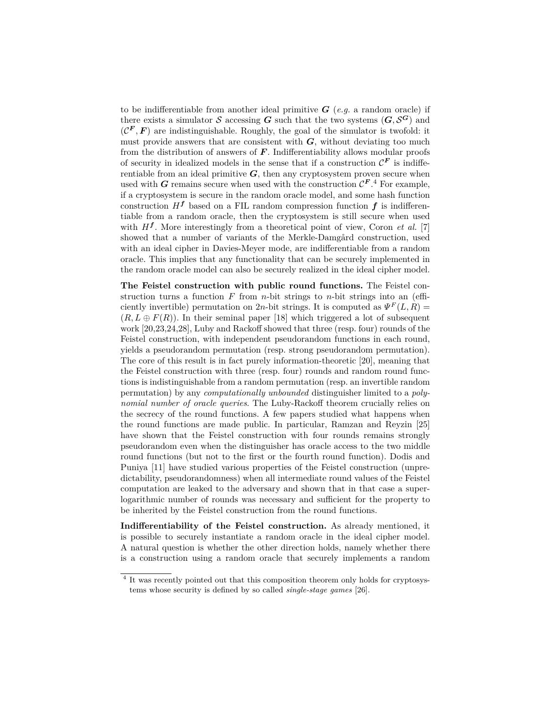to be indifferentiable from another ideal primitive  $G$  (*e.g.* a random oracle) if there exists a simulator  $S$  accessing  $G$  such that the two systems  $(G, S^G)$  and  $(C^F, F)$  are indistinguishable. Roughly, the goal of the simulator is twofold: it must provide answers that are consistent with *G*, without deviating too much from the distribution of answers of  $\boldsymbol{F}$ . Indifferentiability allows modular proofs of security in idealized models in the sense that if a construction  $\mathcal{C}^F$  is indifferentiable from an ideal primitive  $G$ , then any cryptosystem proven secure when used with *G* remains secure when used with the construction  $\mathcal{C}^{F,4}$  For example, if a cryptosystem is secure in the random oracle model, and some hash function construction  $H<sup>f</sup>$  based on a FIL random compression function  $f$  is indifferentiable from a random oracle, then the cryptosystem is still secure when used with  $H^f$ . More interestingly from a theoretical point of view, Coron *et al.* [7] showed that a number of variants of the Merkle-Damgård construction, used with an ideal cipher in Davies-Meyer mode, are indifferentiable from a random oracle. This implies that any functionality that can be securely implemented in the random oracle model can also be securely realized in the ideal cipher model.

**The Feistel construction with public round functions.** The Feistel construction turns a function *F* from *n*-bit strings to *n*-bit strings into an (efficiently invertible) permutation on 2*n*-bit strings. It is computed as  $\Psi^F(L, R)$  $(R, L \oplus F(R))$ . In their seminal paper [18] which triggered a lot of subsequent work [20,23,24,28], Luby and Rackoff showed that three (resp. four) rounds of the Feistel construction, with independent pseudorandom functions in each round, yields a pseudorandom permutation (resp. strong pseudorandom permutation). The core of this result is in fact purely information-theoretic [20], meaning that the Feistel construction with three (resp. four) rounds and random round functions is indistinguishable from a random permutation (resp. an invertible random permutation) by any *computationally unbounded* distinguisher limited to a *polynomial number of oracle queries*. The Luby-Rackoff theorem crucially relies on the secrecy of the round functions. A few papers studied what happens when the round functions are made public. In particular, Ramzan and Reyzin [25] have shown that the Feistel construction with four rounds remains strongly pseudorandom even when the distinguisher has oracle access to the two middle round functions (but not to the first or the fourth round function). Dodis and Puniya [11] have studied various properties of the Feistel construction (unpredictability, pseudorandomness) when all intermediate round values of the Feistel computation are leaked to the adversary and shown that in that case a superlogarithmic number of rounds was necessary and sufficient for the property to be inherited by the Feistel construction from the round functions.

**Indifferentiability of the Feistel construction.** As already mentioned, it is possible to securely instantiate a random oracle in the ideal cipher model. A natural question is whether the other direction holds, namely whether there is a construction using a random oracle that securely implements a random

<sup>&</sup>lt;sup>4</sup> It was recently pointed out that this composition theorem only holds for cryptosystems whose security is defined by so called *single-stage games* [26].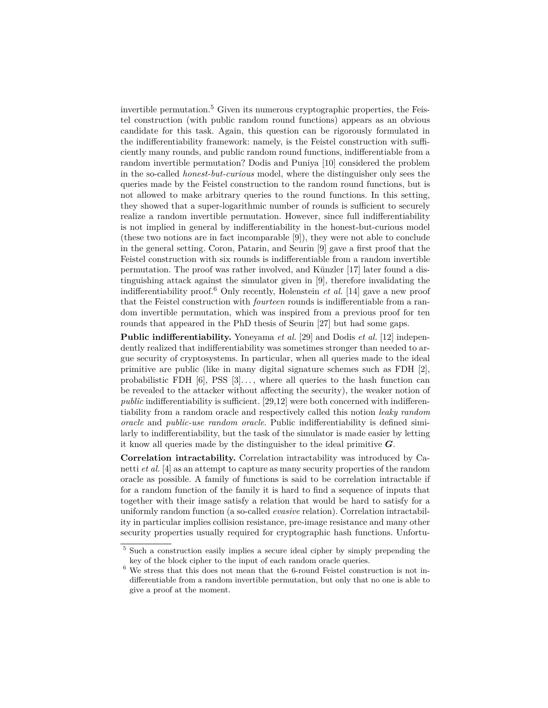invertible permutation.<sup>5</sup> Given its numerous cryptographic properties, the Feistel construction (with public random round functions) appears as an obvious candidate for this task. Again, this question can be rigorously formulated in the indifferentiability framework: namely, is the Feistel construction with sufficiently many rounds, and public random round functions, indifferentiable from a random invertible permutation? Dodis and Puniya [10] considered the problem in the so-called *honest-but-curious* model, where the distinguisher only sees the queries made by the Feistel construction to the random round functions, but is not allowed to make arbitrary queries to the round functions. In this setting, they showed that a super-logarithmic number of rounds is sufficient to securely realize a random invertible permutation. However, since full indifferentiability is not implied in general by indifferentiability in the honest-but-curious model (these two notions are in fact incomparable [9]), they were not able to conclude in the general setting. Coron, Patarin, and Seurin [9] gave a first proof that the Feistel construction with six rounds is indifferentiable from a random invertible permutation. The proof was rather involved, and Künzler [17] later found a distinguishing attack against the simulator given in [9], therefore invalidating the indifferentiability proof.<sup>6</sup> Only recently, Holenstein *et al.* [14] gave a new proof that the Feistel construction with *fourteen* rounds is indifferentiable from a random invertible permutation, which was inspired from a previous proof for ten rounds that appeared in the PhD thesis of Seurin [27] but had some gaps.

**Public indifferentiability.** Yoneyama *et al.* [29] and Dodis *et al.* [12] independently realized that indifferentiability was sometimes stronger than needed to argue security of cryptosystems. In particular, when all queries made to the ideal primitive are public (like in many digital signature schemes such as FDH [2], probabilistic FDH  $[6]$ , PSS  $[3]$ ..., where all queries to the hash function can be revealed to the attacker without affecting the security), the weaker notion of *public* indifferentiability is sufficient. [29,12] were both concerned with indifferentiability from a random oracle and respectively called this notion *leaky random oracle* and *public-use random oracle*. Public indifferentiability is defined similarly to indifferentiability, but the task of the simulator is made easier by letting it know all queries made by the distinguisher to the ideal primitive *G*.

**Correlation intractability.** Correlation intractability was introduced by Canetti *et al.* [4] as an attempt to capture as many security properties of the random oracle as possible. A family of functions is said to be correlation intractable if for a random function of the family it is hard to find a sequence of inputs that together with their image satisfy a relation that would be hard to satisfy for a uniformly random function (a so-called *evasive* relation). Correlation intractability in particular implies collision resistance, pre-image resistance and many other security properties usually required for cryptographic hash functions. Unfortu-

<sup>5</sup> Such a construction easily implies a secure ideal cipher by simply prepending the key of the block cipher to the input of each random oracle queries.

<sup>6</sup> We stress that this does not mean that the 6-round Feistel construction is not indifferentiable from a random invertible permutation, but only that no one is able to give a proof at the moment.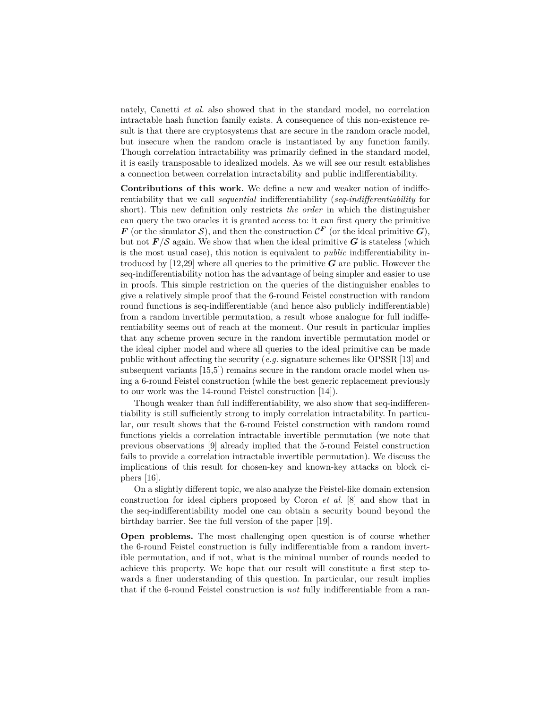nately, Canetti *et al.* also showed that in the standard model, no correlation intractable hash function family exists. A consequence of this non-existence result is that there are cryptosystems that are secure in the random oracle model, but insecure when the random oracle is instantiated by any function family. Though correlation intractability was primarily defined in the standard model, it is easily transposable to idealized models. As we will see our result establishes a connection between correlation intractability and public indifferentiability.

**Contributions of this work.** We define a new and weaker notion of indifferentiability that we call *sequential* indifferentiability (*seq-indifferentiability* for short). This new definition only restricts *the order* in which the distinguisher can query the two oracles it is granted access to: it can first query the primitive *<i>F* (or the simulator S), and then the construction  $\mathcal{C}^F$  (or the ideal primitive  $G$ ), but not  $F/S$  again. We show that when the ideal primitive  $G$  is stateless (which is the most usual case), this notion is equivalent to *public* indifferentiability introduced by [12,29] where all queries to the primitive *G* are public. However the seq-indifferentiability notion has the advantage of being simpler and easier to use in proofs. This simple restriction on the queries of the distinguisher enables to give a relatively simple proof that the 6-round Feistel construction with random round functions is seq-indifferentiable (and hence also publicly indifferentiable) from a random invertible permutation, a result whose analogue for full indifferentiability seems out of reach at the moment. Our result in particular implies that any scheme proven secure in the random invertible permutation model or the ideal cipher model and where all queries to the ideal primitive can be made public without affecting the security (*e.g.* signature schemes like OPSSR [13] and subsequent variants [15,5]) remains secure in the random oracle model when using a 6-round Feistel construction (while the best generic replacement previously to our work was the 14-round Feistel construction [14]).

Though weaker than full indifferentiability, we also show that seq-indifferentiability is still sufficiently strong to imply correlation intractability. In particular, our result shows that the 6-round Feistel construction with random round functions yields a correlation intractable invertible permutation (we note that previous observations [9] already implied that the 5-round Feistel construction fails to provide a correlation intractable invertible permutation). We discuss the implications of this result for chosen-key and known-key attacks on block ciphers [16].

On a slightly different topic, we also analyze the Feistel-like domain extension construction for ideal ciphers proposed by Coron *et al.* [8] and show that in the seq-indifferentiability model one can obtain a security bound beyond the birthday barrier. See the full version of the paper [19].

**Open problems.** The most challenging open question is of course whether the 6-round Feistel construction is fully indifferentiable from a random invertible permutation, and if not, what is the minimal number of rounds needed to achieve this property. We hope that our result will constitute a first step towards a finer understanding of this question. In particular, our result implies that if the 6-round Feistel construction is *not* fully indifferentiable from a ran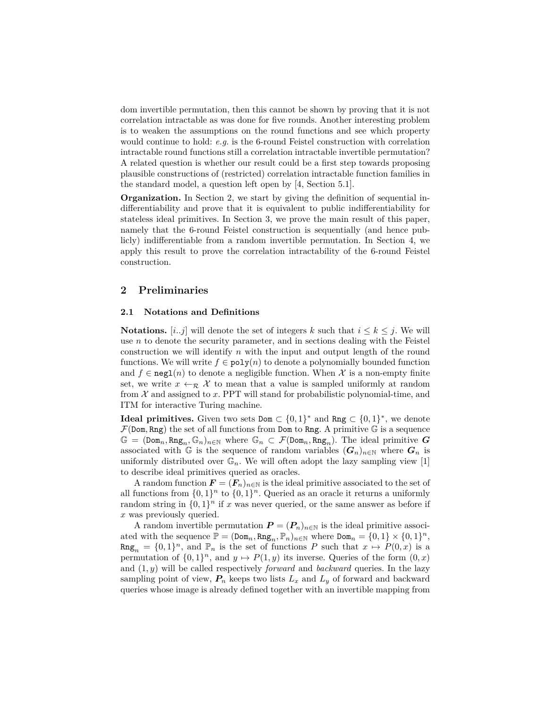dom invertible permutation, then this cannot be shown by proving that it is not correlation intractable as was done for five rounds. Another interesting problem is to weaken the assumptions on the round functions and see which property would continue to hold: *e.g.* is the 6-round Feistel construction with correlation intractable round functions still a correlation intractable invertible permutation? A related question is whether our result could be a first step towards proposing plausible constructions of (restricted) correlation intractable function families in the standard model, a question left open by [4, Section 5.1].

**Organization.** In Section 2, we start by giving the definition of sequential indifferentiability and prove that it is equivalent to public indifferentiability for stateless ideal primitives. In Section 3, we prove the main result of this paper, namely that the 6-round Feistel construction is sequentially (and hence publicly) indifferentiable from a random invertible permutation. In Section 4, we apply this result to prove the correlation intractability of the 6-round Feistel construction.

# **2 Preliminaries**

### **2.1 Notations and Definitions**

**Notations.**  $[i, j]$  will denote the set of integers k such that  $i \leq k \leq j$ . We will use *n* to denote the security parameter, and in sections dealing with the Feistel construction we will identify *n* with the input and output length of the round functions. We will write  $f \in \text{poly}(n)$  to denote a polynomially bounded function and  $f \in \text{negl}(n)$  to denote a negligible function. When  $\mathcal X$  is a non-empty finite set, we write  $x \leftarrow_R \mathcal{X}$  to mean that a value is sampled uniformly at random from  $X$  and assigned to  $x$ . PPT will stand for probabilistic polynomial-time, and ITM for interactive Turing machine.

**Ideal primitives.** Given two sets  $Dom \subset \{0,1\}^*$  and  $Rng \subset \{0,1\}^*$ , we denote  $\mathcal{F}(\text{Dom}, \text{Rng})$  the set of all functions from **Dom** to Rng. A primitive  $\mathbb{G}$  is a sequence  $\mathbb{G} = (\text{Dom}_n, \text{Rng}_n, \mathbb{G}_n)_{n \in \mathbb{N}}$  where  $\mathbb{G}_n \subset \mathcal{F}(\text{Dom}_n, \text{Rng}_n)$ . The ideal primitive  $G$ associated with G is the sequence of random variables  $(G_n)_{n\in\mathbb{N}}$  where  $G_n$  is uniformly distributed over  $\mathbb{G}_n$ . We will often adopt the lazy sampling view [1] to describe ideal primitives queried as oracles.

A random function  $\mathbf{F} = (\mathbf{F}_n)_{n \in \mathbb{N}}$  is the ideal primitive associated to the set of all functions from  $\{0,1\}^n$  to  $\{0,1\}^n$ . Queried as an oracle it returns a uniformly random string in  $\{0,1\}^n$  if *x* was never queried, or the same answer as before if *x* was previously queried.

A random invertible permutation  $P = (P_n)_{n \in \mathbb{N}}$  is the ideal primitive associ-ated with the sequence  $\mathbb{P} = (\text{Dom}_n, \text{Rng}_n, \mathbb{P}_n)_{n \in \mathbb{N}}$  where  $\text{Dom}_n = \{0, 1\} \times \{0, 1\}^n$ ,  $\arg_n = \{0,1\}^n$ , and  $\mathbb{P}_n$  is the set of functions *P* such that  $x \mapsto P(0,x)$  is a permutation of  $\{0,1\}^n$ , and  $y \mapsto P(1, y)$  its inverse. Queries of the form  $(0, x)$ and (1*, y*) will be called respectively *forward* and *backward* queries. In the lazy sampling point of view,  $P_n$  keeps two lists  $L_x$  and  $L_y$  of forward and backward queries whose image is already defined together with an invertible mapping from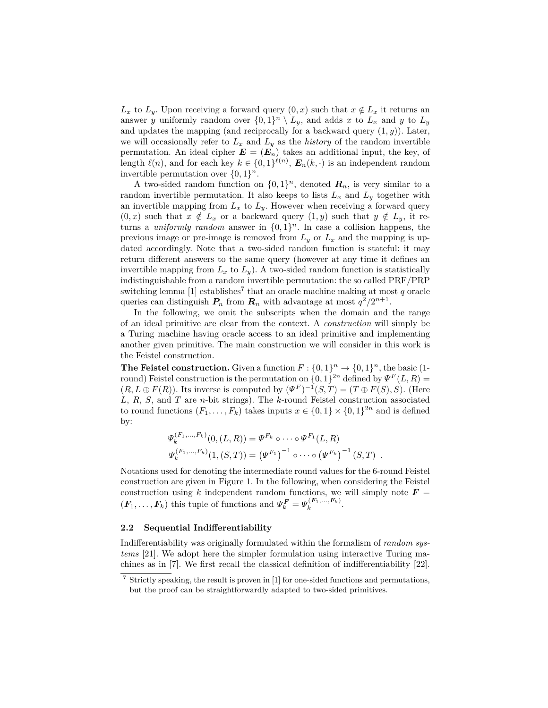$L_x$  to  $L_y$ . Upon receiving a forward query  $(0, x)$  such that  $x \notin L_x$  it returns an answer *y* uniformly random over  $\{0,1\}^n \setminus L_y$ , and adds *x* to  $L_x$  and *y* to  $L_y$ and updates the mapping (and reciprocally for a backward query  $(1, y)$ ). Later, we will occasionally refer to  $L_x$  and  $L_y$  as the *history* of the random invertible permutation. An ideal cipher  $\mathbf{E} = (\mathbf{E}_n)$  takes an additional input, the key, of length  $\ell(n)$ , and for each key  $k \in \{0,1\}^{\ell(n)}$ ,  $E_n(k, \cdot)$  is an independent random invertible permutation over  $\{0,1\}^n$ .

A two-sided random function on  $\{0,1\}^n$ , denoted  $\mathbf{R}_n$ , is very similar to a random invertible permutation. It also keeps to lists  $L_x$  and  $L_y$  together with an invertible mapping from  $L_x$  to  $L_y$ . However when receiving a forward query  $(0, x)$  such that  $x \notin L_x$  or a backward query  $(1, y)$  such that  $y \notin L_y$ , it returns a *uniformly random* answer in  $\{0,1\}^n$ . In case a collision happens, the previous image or pre-image is removed from  $L_y$  or  $L_x$  and the mapping is updated accordingly. Note that a two-sided random function is stateful: it may return different answers to the same query (however at any time it defines an invertible mapping from  $L_x$  to  $L_y$ ). A two-sided random function is statistically indistinguishable from a random invertible permutation: the so called PRF/PRP switching lemma  $[1]$  establishes<sup>7</sup> that an oracle machine making at most  $q$  oracle queries can distinguish  $P_n$  from  $R_n$  with advantage at most  $q^2/2^{n+1}$ .

In the following, we omit the subscripts when the domain and the range of an ideal primitive are clear from the context. A *construction* will simply be a Turing machine having oracle access to an ideal primitive and implementing another given primitive. The main construction we will consider in this work is the Feistel construction.

**The Feistel construction.** Given a function  $F: \{0,1\}^n \to \{0,1\}^n$ , the basic (1round) Feistel construction is the permutation on  $\{0,1\}^{2n}$  defined by  $\Psi^F(L,R)$  $(R, L \oplus F(R))$ . Its inverse is computed by  $(\Psi^F)^{-1}(S, T) = (T \oplus F(S), S)$ . (Here *L*, *R*, *S*, and *T* are *n*-bit strings). The *k*-round Feistel construction associated to round functions  $(F_1, \ldots, F_k)$  takes inputs  $x \in \{0,1\} \times \{0,1\}^{2n}$  and is defined by:

$$
\Psi_k^{(F_1,...,F_k)}(0,(L,R)) = \Psi^{F_k} \circ \cdots \circ \Psi^{F_1}(L,R)
$$
  

$$
\Psi_k^{(F_1,...,F_k)}(1,(S,T)) = (\Psi^{F_1})^{-1} \circ \cdots \circ (\Psi^{F_k})^{-1} (S,T).
$$

Notations used for denoting the intermediate round values for the 6-round Feistel construction are given in Figure 1. In the following, when considering the Feistel construction using k independent random functions, we will simply note  $\mathbf{F} =$  $(F_1, \ldots, F_k)$  this tuple of functions and  $\Psi_k^F = \Psi_k^{(F_1, \ldots, F_k)}$ .

#### **2.2 Sequential Indifferentiability**

Indifferentiability was originally formulated within the formalism of *random systems* [21]. We adopt here the simpler formulation using interactive Turing machines as in [7]. We first recall the classical definition of indifferentiability [22].

 $7$  Strictly speaking, the result is proven in [1] for one-sided functions and permutations, but the proof can be straightforwardly adapted to two-sided primitives.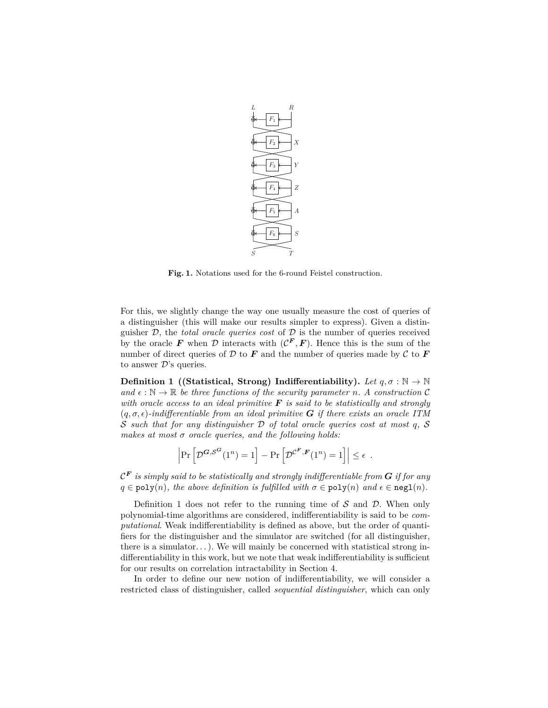

**Fig. 1.** Notations used for the 6-round Feistel construction.

For this, we slightly change the way one usually measure the cost of queries of a distinguisher (this will make our results simpler to express). Given a distinguisher D, the *total oracle queries cost* of D is the number of queries received by the oracle F when D interacts with  $(C^F, F)$ . Hence this is the sum of the number of direct queries of  $D$  to  $F$  and the number of queries made by  $C$  to  $F$ to answer  $\mathcal{D}$ 's queries.

**Definition 1** ((Statistical, Strong) Indifferentiability). Let  $q, \sigma : \mathbb{N} \to \mathbb{N}$ and  $\epsilon : \mathbb{N} \to \mathbb{R}$  be three functions of the security parameter *n*. A construction C *with oracle access to an ideal primitive F is said to be statistically and strongly*  $(q, \sigma, \epsilon)$ -indifferentiable from an ideal primitive **G** if there exists an oracle ITM S *such that for any distinguisher* D *of total oracle queries cost at most q,* S *makes at most σ oracle queries, and the following holds:*

$$
\left| \Pr \left[ \mathcal{D}^{\mathcal{G}, \mathcal{S}^{\mathcal{G}}}(1^n) = 1 \right] - \Pr \left[ \mathcal{D}^{\mathcal{C}^{\mathcal{F}}, \mathcal{F}}(1^n) = 1 \right] \right| \le \epsilon .
$$

 $\mathcal{C}^{\boldsymbol{F}}$  *is simply said to be statistically and strongly indifferentiable from*  $\boldsymbol{G}$  *if for any*  $q \in \text{poly}(n)$ *, the above definition is fulfilled with*  $\sigma \in \text{poly}(n)$  *and*  $\epsilon \in \text{negl}(n)$ *.* 

Definition 1 does not refer to the running time of  $S$  and  $D$ . When only polynomial-time algorithms are considered, indifferentiability is said to be *computational*. Weak indifferentiability is defined as above, but the order of quantifiers for the distinguisher and the simulator are switched (for all distinguisher, there is a simulator...). We will mainly be concerned with statistical strong indifferentiability in this work, but we note that weak indifferentiability is sufficient for our results on correlation intractability in Section 4.

In order to define our new notion of indifferentiability, we will consider a restricted class of distinguisher, called *sequential distinguisher*, which can only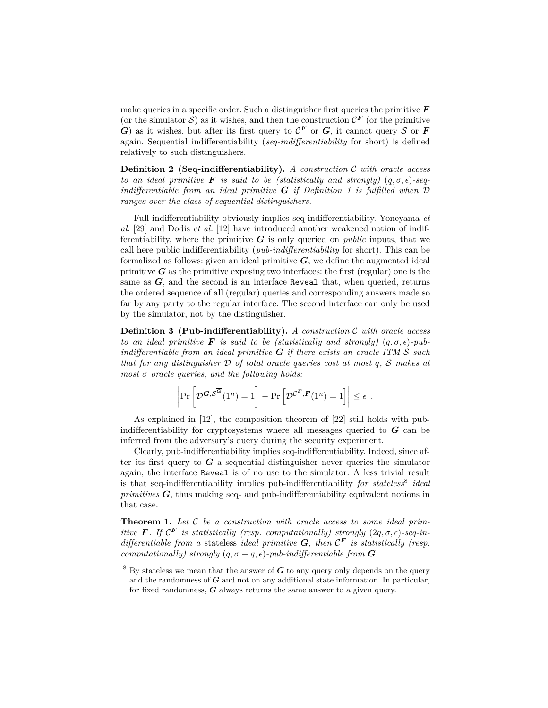make queries in a specific order. Such a distinguisher first queries the primitive *F* (or the simulator  $S$ ) as it wishes, and then the construction  $\mathcal{C}^F$  (or the primitive *G*) as it wishes, but after its first query to  $\mathcal{C}^F$  or *G*, it cannot query S or *F* again. Sequential indifferentiability (*seq-indifferentiability* for short) is defined relatively to such distinguishers.

**Definition 2 (Seq-indifferentiability).** *A construction* C *with oracle access to an ideal primitive* **F** *is said to be (statistically and strongly)*  $(q, \sigma, \epsilon)$ -seq*indifferentiable from an ideal primitive G if Definition 1 is fulfilled when* D *ranges over the class of sequential distinguishers.*

Full indifferentiability obviously implies seq-indifferentiability. Yoneyama *et al.* [29] and Dodis *et al.* [12] have introduced another weakened notion of indifferentiability, where the primitive  $G$  is only queried on *public* inputs, that we call here public indifferentiability (*pub-indifferentiability* for short). This can be formalized as follows: given an ideal primitive  $G$ , we define the augmented ideal primitive  $\overline{G}$  as the primitive exposing two interfaces: the first (regular) one is the same as  $G$ , and the second is an interface Reveal that, when queried, returns the ordered sequence of all (regular) queries and corresponding answers made so far by any party to the regular interface. The second interface can only be used by the simulator, not by the distinguisher.

**Definition 3 (Pub-indifferentiability).** *A construction* C *with oracle access to an ideal primitive* **F** *is said to be (statistically and strongly)*  $(q, \sigma, \epsilon)$ -pub*indifferentiable from an ideal primitive G if there exists an oracle ITM* S *such that for any distinguisher* D *of total oracle queries cost at most q,* S *makes at most σ oracle queries, and the following holds:*

$$
\left|\Pr\left[\mathcal{D}^{\mathcal{G},\mathcal{S}^{\overline{\mathcal{G}}}}(1^n)=1\right]-\Pr\left[\mathcal{D}^{\mathcal{C}^F,F}(1^n)=1\right]\right|\leq\epsilon.
$$

As explained in [12], the composition theorem of [22] still holds with pubindifferentiability for cryptosystems where all messages queried to *G* can be inferred from the adversary's query during the security experiment.

Clearly, pub-indifferentiability implies seq-indifferentiability. Indeed, since after its first query to *G* a sequential distinguisher never queries the simulator again, the interface Reveal is of no use to the simulator. A less trivial result is that seq-indifferentiability implies pub-indifferentiability *for stateless*<sup>8</sup> *ideal primitives G*, thus making seq- and pub-indifferentiability equivalent notions in that case.

**Theorem 1.** *Let* C *be a construction with oracle access to some ideal primitive* **F**. If  $\mathcal{C}^F$  *is statistically (resp. computationally) strongly*  $(2q, \sigma, \epsilon)$ -seq-in*differentiable from a* stateless *ideal primitive*  $G$ *, then*  $\mathcal{C}^F$  *is statistically (resp. computationally)* strongly  $(q, \sigma + q, \epsilon)$ -pub-indifferentiable from **G**.

 $8\,$  By stateless we mean that the answer of  $G$  to any query only depends on the query and the randomness of *G* and not on any additional state information. In particular, for fixed randomness, *G* always returns the same answer to a given query.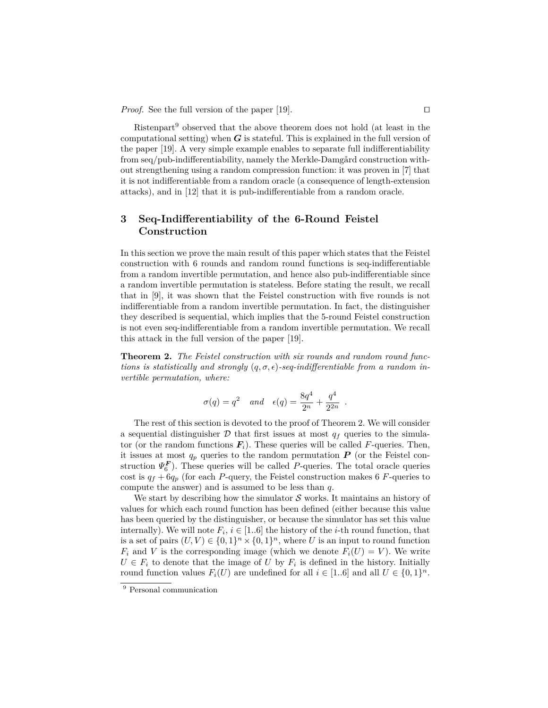*Proof.* See the full version of the paper [19].  $\Box$ 

Ristenpart<sup>9</sup> observed that the above theorem does not hold (at least in the computational setting) when *G* is stateful. This is explained in the full version of the paper [19]. A very simple example enables to separate full indifferentiability from seq/pub-indifferentiability, namely the Merkle-Damgård construction without strengthening using a random compression function: it was proven in [7] that it is not indifferentiable from a random oracle (a consequence of length-extension attacks), and in [12] that it is pub-indifferentiable from a random oracle.

# **3 Seq-Indifferentiability of the 6-Round Feistel Construction**

In this section we prove the main result of this paper which states that the Feistel construction with 6 rounds and random round functions is seq-indifferentiable from a random invertible permutation, and hence also pub-indifferentiable since a random invertible permutation is stateless. Before stating the result, we recall that in [9], it was shown that the Feistel construction with five rounds is not indifferentiable from a random invertible permutation. In fact, the distinguisher they described is sequential, which implies that the 5-round Feistel construction is not even seq-indifferentiable from a random invertible permutation. We recall this attack in the full version of the paper [19].

**Theorem 2.** *The Feistel construction with six rounds and random round functions is statistically and strongly*  $(q, \sigma, \epsilon)$ -seq-indifferentiable from a random in*vertible permutation, where:*

$$
\sigma(q)=q^2 \quad and \quad \epsilon(q)=\frac{8q^4}{2^n}+\frac{q^4}{2^{2n}}\enspace.
$$

The rest of this section is devoted to the proof of Theorem 2. We will consider a sequential distinguisher  $D$  that first issues at most  $q_f$  queries to the simulator (or the random functions  $\mathbf{F}_i$ ). These queries will be called F-queries. Then, it issues at most  $q_p$  queries to the random permutation  $P$  (or the Feistel construction  $\Psi_6^{\textbf{F}}$ ). These queries will be called *P*-queries. The total oracle queries cost is  $q_f + 6q_p$  (for each *P*-query, the Feistel construction makes 6 *F*-queries to compute the answer) and is assumed to be less than *q*.

We start by describing how the simulator  $\mathcal S$  works. It maintains an history of values for which each round function has been defined (either because this value has been queried by the distinguisher, or because the simulator has set this value internally). We will note  $F_i$ ,  $i \in [1..6]$  the history of the *i*-th round function, that is a set of pairs  $(U, V) \in \{0, 1\}^n \times \{0, 1\}^n$ , where *U* is an input to round function  $F_i$  and *V* is the corresponding image (which we denote  $F_i(U) = V$ ). We write  $U \in F_i$  to denote that the image of *U* by  $F_i$  is defined in the history. Initially round function values  $F_i(U)$  are undefined for all  $i \in [1..6]$  and all  $U \in \{0,1\}^n$ .

 $\overline{9}$  Personal communication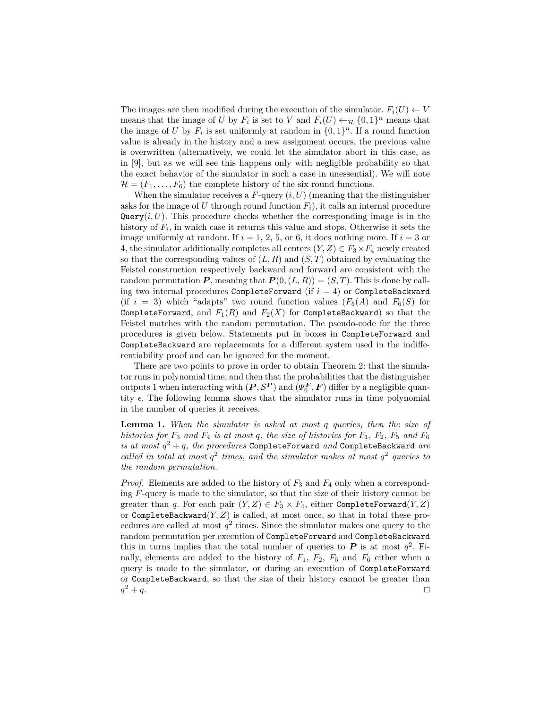The images are then modified during the execution of the simulator.  $F_i(U) \leftarrow V$ means that the image of *U* by  $F_i$  is set to *V* and  $F_i(U) \leftarrow \mathcal{R} \{0,1\}^n$  means that the image of *U* by  $F_i$  is set uniformly at random in  $\{0,1\}^n$ . If a round function value is already in the history and a new assignment occurs, the previous value is overwritten (alternatively, we could let the simulator abort in this case, as in [9], but as we will see this happens only with negligible probability so that the exact behavior of the simulator in such a case in unessential). We will note  $\mathcal{H} = (F_1, \ldots, F_6)$  the complete history of the six round functions.

When the simulator receives a  $F$ -query  $(i, U)$  (meaning that the distinguisher asks for the image of  $U$  through round function  $F_i$ , it calls an internal procedure  $Query(i, U)$ . This procedure checks whether the corresponding image is in the history of *F<sup>i</sup>* , in which case it returns this value and stops. Otherwise it sets the image uniformly at random. If  $i = 1, 2, 5$ , or 6, it does nothing more. If  $i = 3$  or 4, the simulator additionally completes all centers  $(Y, Z) \in F_3 \times F_4$  newly created so that the corresponding values of  $(L, R)$  and  $(S, T)$  obtained by evaluating the Feistel construction respectively backward and forward are consistent with the random permutation  $P$ , meaning that  $P(0,(L,R)) = (S,T)$ . This is done by calling two internal procedures CompleteForward (if  $i = 4$ ) or CompleteBackward (if  $i = 3$ ) which "adapts" two round function values  $(F_5(A)$  and  $F_6(S)$  for CompleteForward, and  $F_1(R)$  and  $F_2(X)$  for CompleteBackward) so that the Feistel matches with the random permutation. The pseudo-code for the three procedures is given below. Statements put in boxes in CompleteForward and CompleteBackward are replacements for a different system used in the indifferentiability proof and can be ignored for the moment.

There are two points to prove in order to obtain Theorem 2: that the simulator runs in polynomial time, and then that the probabilities that the distinguisher outputs 1 when interacting with  $(P, \mathcal{S}^P)$  and  $(\Psi_6^F, F)$  differ by a negligible quantity  $\epsilon$ . The following lemma shows that the simulator runs in time polynomial in the number of queries it receives.

**Lemma 1.** *When the simulator is asked at most q queries, then the size of histories for*  $F_3$  *and*  $F_4$  *is at most*  $q$ *, the size of histories for*  $F_1$ *,*  $F_2$ *,*  $F_5$  *and*  $F_6$ *is at most q* <sup>2</sup> + *q, the procedures* CompleteForward *and* CompleteBackward *are* called in total at most  $q^2$  times, and the simulator makes at most  $q^2$  queries to *the random permutation.*

*Proof.* Elements are added to the history of *F*<sup>3</sup> and *F*<sup>4</sup> only when a corresponding *F*-query is made to the simulator, so that the size of their history cannot be greater than *q*. For each pair  $(Y, Z) \in F_3 \times F_4$ , either CompleteForward(*Y, Z*) or CompleteBackward(*Y, Z*) is called, at most once, so that in total these procedures are called at most  $q^2$  times. Since the simulator makes one query to the random permutation per execution of CompleteForward and CompleteBackward this in turns implies that the total number of queries to  $P$  is at most  $q^2$ . Finally, elements are added to the history of  $F_1$ ,  $F_2$ ,  $F_5$  and  $F_6$  either when a query is made to the simulator, or during an execution of CompleteForward or CompleteBackward, so that the size of their history cannot be greater than  $q^2 + q$ .  $2^2 + q$ .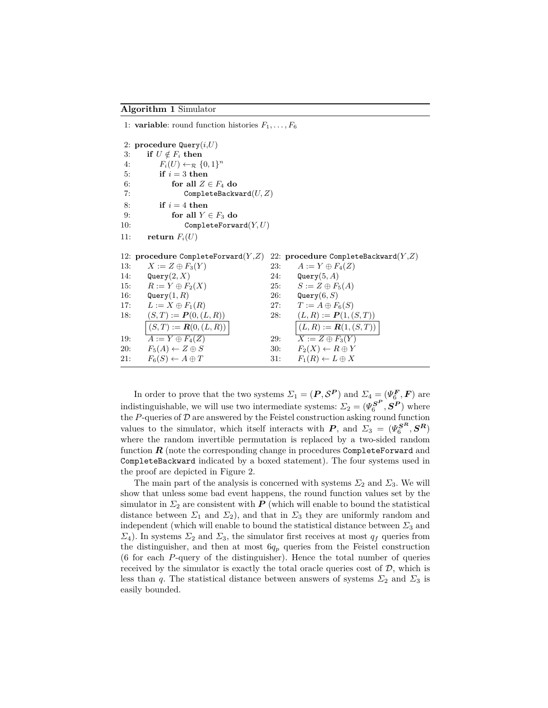1: **variable**: round function histories  $F_1, \ldots, F_6$ 

2: **procedure** Query(*i*,*U*) 3: **if**  $U \notin F_i$  then 4:  $F_i(U) \leftarrow_{\mathcal{R}} \{0,1\}^n$ 5: **if**  $i = 3$  **then** 6: **for all**  $Z \in F_4$  **do** 7: CompleteBackward(*U, Z*) 8: **if**  $i = 4$  **then** 9: **for all**  $Y \in F_3$  **do** 10: CompleteForward(*Y, U*) 11: **return**  $F_i(U)$ 12: **procedure** CompleteForward(*Y* ,*Z*) 13:  $X := Z \oplus F_3(Y)$ 14: Query(2*, X*) 15:  $R := Y \oplus F_2(X)$ 16: Query(1*, R*) 17:  $L := X \oplus F_1(R)$ 18:  $(S, T) := P(0, (L, R))$  $(S, T) := R(0, (L, R))$ 19:  $\overline{A} := Y \oplus F_4(Z)$ 20:  $F_5(A) \leftarrow Z \oplus S$ 21:  $F_6(S) \leftarrow A \oplus T$ 22: **procedure** CompleteBackward(*Y* ,*Z*) 23:  $A := Y \oplus F_4(Z)$ 24: Query(5*, A*) 25:  $S := Z \oplus F_5(A)$ 26: Query(6*, S*) 27:  $T := A \oplus F_6(S)$ 28:  $(L, R) := P(1, (S, T))$  $(L, R) := R(1, (S, T))$ 29:  $\overline{X} := Z \oplus F_3(Y)$ 30:  $F_2(X) \leftarrow R \oplus Y$ 31:  $F_1(R) \leftarrow L \oplus X$ 

In order to prove that the two systems  $\Sigma_1 = (\boldsymbol{P}, \mathcal{S}^{\boldsymbol{P}})$  and  $\Sigma_4 = (\Psi_6^{\boldsymbol{F}}, \boldsymbol{F})$  are indistinguishable, we will use two intermediate systems:  $\mathcal{L}_2 = (\Psi_6^{\mathbf{S}^{\mathbf{P}}}, \mathbf{S}^{\mathbf{P}})$  where the  $P\mbox{-}$  queries of<br>  $\mathcal D$  are answered by the Feistel construction asking round function values to the simulator, which itself interacts with  $P$ , and  $\Sigma_3 = (\Psi_6^{\mathbf{S}^R}, \mathbf{S}^R)$ where the random invertible permutation is replaced by a two-sided random function *R* (note the corresponding change in procedures CompleteForward and CompleteBackward indicated by a boxed statement). The four systems used in the proof are depicted in Figure 2.

The main part of the analysis is concerned with systems  $\Sigma_2$  and  $\Sigma_3$ . We will show that unless some bad event happens, the round function values set by the simulator in  $\Sigma_2$  are consistent with *P* (which will enable to bound the statistical distance between  $\Sigma_1$  and  $\Sigma_2$ ), and that in  $\Sigma_3$  they are uniformly random and independent (which will enable to bound the statistical distance between  $\Sigma_3$  and *Σ*<sub>4</sub>). In systems *Σ*<sub>2</sub> and *Σ*<sub>3</sub>, the simulator first receives at most  $q<sub>f</sub>$  queries from the distinguisher, and then at most  $6q<sub>p</sub>$  queries from the Feistel construction (6 for each *P*-query of the distinguisher). Hence the total number of queries received by the simulator is exactly the total oracle queries cost of  $\mathcal{D}$ , which is less than *q*. The statistical distance between answers of systems  $\Sigma_2$  and  $\Sigma_3$  is easily bounded.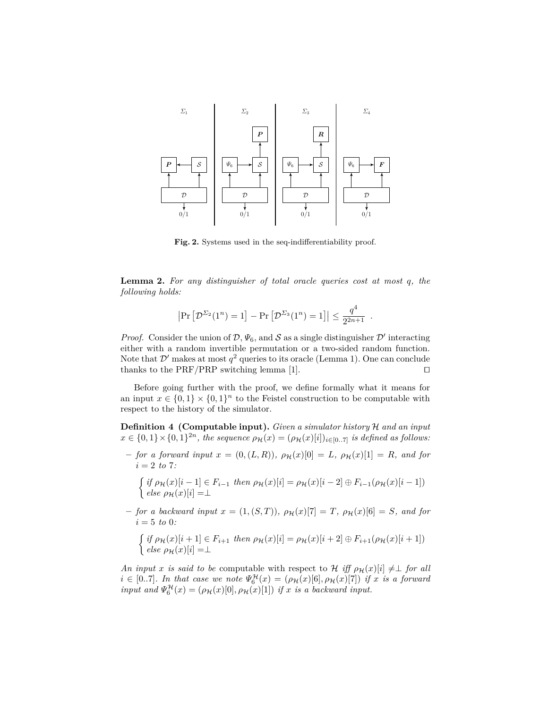

Fig. 2. Systems used in the seq-indifferentiability proof.

**Lemma 2.** *For any distinguisher of total oracle queries cost at most q, the following holds:*

$$
\left|\Pr\left[\mathcal{D}^{\Sigma_2}(1^n)=1\right]-\Pr\left[\mathcal{D}^{\Sigma_3}(1^n)=1\right]\right|\leq \frac{q^4}{2^{2n+1}}.
$$

*Proof.* Consider the union of  $\mathcal{D}, \Psi_6$ , and  $\mathcal S$  as a single distinguisher  $\mathcal D'$  interacting either with a random invertible permutation or a two-sided random function. Note that  $\mathcal{D}'$  makes at most  $q^2$  queries to its oracle (Lemma 1). One can conclude thanks to the PRF/PRP switching lemma [1].  $\square$ 

Before going further with the proof, we define formally what it means for an input  $x \in \{0,1\} \times \{0,1\}^n$  to the Feistel construction to be computable with respect to the history of the simulator.

**Definition 4 (Computable input).** *Given a simulator history* H *and an input*  $x \in \{0,1\} \times \{0,1\}^{2n}$ , the sequence  $\rho_{\mathcal{H}}(x) = (\rho_{\mathcal{H}}(x)[i])_{i \in [0..7]}$  *is defined as follows:* 

 $-$  *for a forward input*  $x = (0, (L, R)), \rho_H(x)[0] = L, \rho_H(x)[1] = R$ *, and for*  $i = 2$  *to* 7*:* 

$$
\begin{cases} \text{if } \rho_{\mathcal{H}}(x)[i-1] \in F_{i-1} \text{ then } \rho_{\mathcal{H}}(x)[i] = \rho_{\mathcal{H}}(x)[i-2] \oplus F_{i-1}(\rho_{\mathcal{H}}(x)[i-1])\\ \text{else } \rho_{\mathcal{H}}(x)[i] = \perp \end{cases}
$$

 $-$  *for a backward input*  $x = (1, (S, T))$ *,*  $\rho_{\mathcal{H}}(x)[7] = T$ *,*  $\rho_{\mathcal{H}}(x)[6] = S$ *, and for*  $i = 5$  *to* 0*:* 

$$
\begin{cases} \text{if } \rho_{\mathcal{H}}(x)[i+1] \in F_{i+1} \text{ then } \rho_{\mathcal{H}}(x)[i] = \rho_{\mathcal{H}}(x)[i+2] \oplus F_{i+1}(\rho_{\mathcal{H}}(x)[i+1])\\ \text{else } \rho_{\mathcal{H}}(x)[i] = \perp \end{cases}
$$

*An input x is said to be* computable with respect to H *iff*  $\rho_H(x)[i] \neq \perp$  *for all*  $i \in [0..7]$ *. In that case we note*  $\Psi_6^{\mathcal{H}}(x) = (\rho_{\mathcal{H}}(x)[6], \rho_{\mathcal{H}}(x)[7])$  *if x is a forward input and*  $\Psi_6^{\mathcal{H}}(x) = (\rho_{\mathcal{H}}(x)[0], \rho_{\mathcal{H}}(x)[1])$  *if x is a backward input.*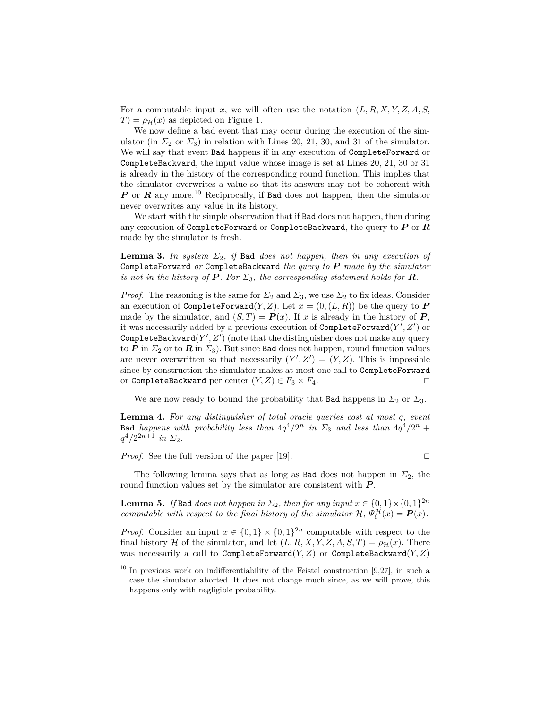For a computable input *x*, we will often use the notation (*L, R, X, Y, Z, A, S,*  $T$ ) =  $\rho_{\mathcal{H}}(x)$  as depicted on Figure 1.

We now define a bad event that may occur during the execution of the simulator (in  $\Sigma_2$  or  $\Sigma_3$ ) in relation with Lines 20, 21, 30, and 31 of the simulator. We will say that event Bad happens if in any execution of CompleteForward or CompleteBackward, the input value whose image is set at Lines 20, 21, 30 or 31 is already in the history of the corresponding round function. This implies that the simulator overwrites a value so that its answers may not be coherent with *P* or *R* any more.<sup>10</sup> Reciprocally, if Bad does not happen, then the simulator never overwrites any value in its history.

We start with the simple observation that if Bad does not happen, then during any execution of CompleteForward or CompleteBackward, the query to *P* or *R* made by the simulator is fresh.

**Lemma 3.** In system  $\Sigma_2$ , if Bad does not happen, then in any execution of CompleteForward *or* CompleteBackward *the query to P made by the simulator is not in the history of*  $P$ *. For*  $\Sigma_3$ *, the corresponding statement holds for*  $R$ *.* 

*Proof.* The reasoning is the same for  $\Sigma_2$  and  $\Sigma_3$ , we use  $\Sigma_2$  to fix ideas. Consider an execution of CompleteForward $(Y, Z)$ . Let  $x = (0, (L, R))$  be the query to P made by the simulator, and  $(S,T) = P(x)$ . If *x* is already in the history of *P*, it was necessarily added by a previous execution of CompleteForward( $Y', Z'$ ) or  $\texttt{CompleteBackward}(Y', Z')$  (note that the distinguisher does not make any query to *P* in  $\Sigma_2$  or to *R* in  $\Sigma_3$ ). But since Bad does not happen, round function values are never overwritten so that necessarily  $(Y', Z') = (Y, Z)$ . This is impossible since by construction the simulator makes at most one call to CompleteForward or CompleteBackward per center  $(Y, Z) \in F_3 \times F_4$ . □

We are now ready to bound the probability that Bad happens in  $\Sigma_2$  or  $\Sigma_3$ .

**Lemma 4.** *For any distinguisher of total oracle queries cost at most q, event* Bad *happens* with probability less than  $4q^4/2^n$  in  $\Sigma_3$  and less than  $4q^4/2^n$  +  $q^4/2^{2n+1}$  *in*  $\Sigma_2$ *.* 

*Proof.* See the full version of the paper [19].  $\Box$ 

The following lemma says that as long as **Bad** does not happen in  $\Sigma_2$ , the round function values set by the simulator are consistent with *P* .

**Lemma 5.** *If* Bad *does not happen in*  $\Sigma_2$ *, then for any input*  $x \in \{0,1\} \times \{0,1\}^{2n}$ *computable with respect to the final history of the simulator*  $H$ ,  $\Psi_6^H(x) = P(x)$ .

*Proof.* Consider an input  $x \in \{0,1\} \times \{0,1\}^{2n}$  computable with respect to the final history H of the simulator, and let  $(L, R, X, Y, Z, A, S, T) = \rho_H(x)$ . There was necessarily a call to CompleteForward(*Y, Z*) or CompleteBackward(*Y, Z*)

 $10$  In previous work on indifferentiability of the Feistel construction [9,27], in such a case the simulator aborted. It does not change much since, as we will prove, this happens only with negligible probability.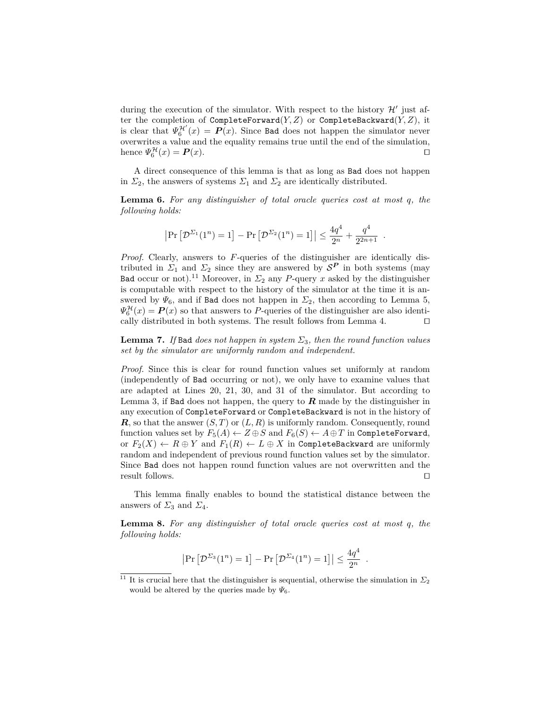during the execution of the simulator. With respect to the history  $\mathcal{H}'$  just after the completion of CompleteForward $(Y, Z)$  or CompleteBackward $(Y, Z)$ , it is clear that  $\Psi_6^{\mathcal{H}'}(x) = \mathbf{P}(x)$ . Since Bad does not happen the simulator never overwrites a value and the equality remains true until the end of the simulation, hence  $\Psi_6^{\mathcal{H}}(x) = \mathbf{P}(x)$ .

A direct consequence of this lemma is that as long as Bad does not happen in  $\Sigma_2$ , the answers of systems  $\Sigma_1$  and  $\Sigma_2$  are identically distributed.

**Lemma 6.** *For any distinguisher of total oracle queries cost at most q, the following holds:*

$$
|\Pr[\mathcal{D}^{\Sigma_1}(1^n) = 1] - \Pr[\mathcal{D}^{\Sigma_2}(1^n) = 1]| \le \frac{4q^4}{2^n} + \frac{q^4}{2^{2n+1}}.
$$

*Proof.* Clearly, answers to *F*-queries of the distinguisher are identically distributed in  $\Sigma_1$  and  $\Sigma_2$  since they are answered by  $S^P$  in both systems (may Bad occur or not).<sup>11</sup> Moreover, in  $\Sigma_2$  any *P*-query *x* asked by the distinguisher is computable with respect to the history of the simulator at the time it is answered by  $\Psi_6$ , and if Bad does not happen in  $\Sigma_2$ , then according to Lemma 5,  $\Psi_6^{\mathcal{H}}(x) = \mathbf{P}(x)$  so that answers to *P*-queries of the distinguisher are also identically distributed in both systems. The result follows from Lemma 4.  $\Box$ 

**Lemma 7.** *If* Bad *does not happen in system*  $\Sigma_3$ *, then the round function values set by the simulator are uniformly random and independent.*

*Proof.* Since this is clear for round function values set uniformly at random (independently of Bad occurring or not), we only have to examine values that are adapted at Lines 20, 21, 30, and 31 of the simulator. But according to Lemma 3, if Bad does not happen, the query to  $\bm{R}$  made by the distinguisher in any execution of CompleteForward or CompleteBackward is not in the history of  $\mathbf{R}$ , so that the answer  $(S, T)$  or  $(L, R)$  is uniformly random. Consequently, round function values set by  $F_5(A) \leftarrow Z \oplus S$  and  $F_6(S) \leftarrow A \oplus T$  in CompleteForward, or  $F_2(X) \leftarrow R \oplus Y$  and  $F_1(R) \leftarrow L \oplus X$  in CompleteBackward are uniformly random and independent of previous round function values set by the simulator. Since Bad does not happen round function values are not overwritten and the result follows.  $\Box$ 

This lemma finally enables to bound the statistical distance between the answers of  $\Sigma_3$  and  $\Sigma_4$ .

**Lemma 8.** *For any distinguisher of total oracle queries cost at most q, the following holds:*

$$
\left|\Pr\left[\mathcal{D}^{\Sigma_3}(1^n)=1\right]-\Pr\left[\mathcal{D}^{\Sigma_4}(1^n)=1\right]\right|\leq \frac{4q^4}{2^n}
$$

*.*

<sup>&</sup>lt;sup>11</sup> It is crucial here that the distinguisher is sequential, otherwise the simulation in  $\Sigma_2$ would be altered by the queries made by  $\Psi_6$ .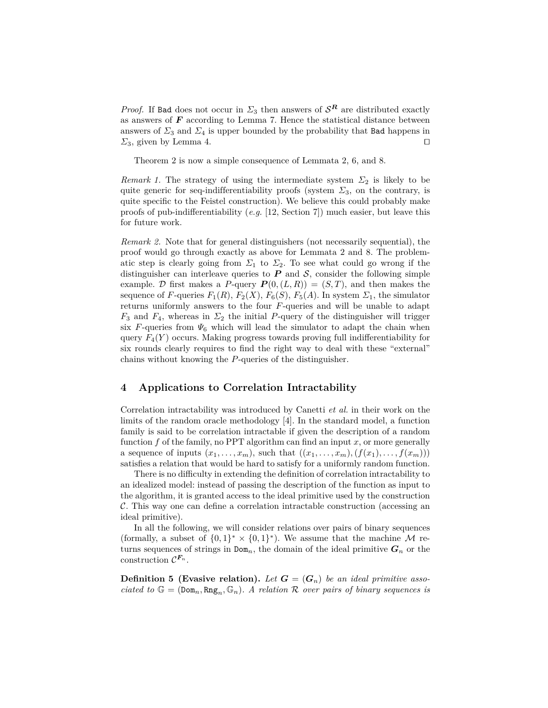*Proof.* If Bad does not occur in  $\Sigma_3$  then answers of  $S^R$  are distributed exactly as answers of *F* according to Lemma 7. Hence the statistical distance between answers of  $\Sigma_3$  and  $\Sigma_4$  is upper bounded by the probability that **Bad** happens in  $\Sigma_3$ , given by Lemma 4.

Theorem 2 is now a simple consequence of Lemmata 2, 6, and 8.

*Remark 1.* The strategy of using the intermediate system  $\Sigma_2$  is likely to be quite generic for seq-indifferentiability proofs (system  $\Sigma_3$ , on the contrary, is quite specific to the Feistel construction). We believe this could probably make proofs of pub-indifferentiability (*e.g.* [12, Section 7]) much easier, but leave this for future work.

*Remark 2.* Note that for general distinguishers (not necessarily sequential), the proof would go through exactly as above for Lemmata 2 and 8. The problematic step is clearly going from  $\Sigma_1$  to  $\Sigma_2$ . To see what could go wrong if the distinguisher can interleave queries to  $P$  and  $S$ , consider the following simple example. D first makes a P-query  $P(0,(L,R)) = (S,T)$ , and then makes the sequence of *F*-queries  $F_1(R)$ ,  $F_2(X)$ ,  $F_6(S)$ ,  $F_5(A)$ . In system  $\Sigma_1$ , the simulator returns uniformly answers to the four *F*-queries and will be unable to adapt  $F_3$  and  $F_4$ , whereas in  $\Sigma_2$  the initial *P*-query of the distinguisher will trigger six *F*-queries from  $\Psi_6$  which will lead the simulator to adapt the chain when query  $F_4(Y)$  occurs. Making progress towards proving full indifferentiability for six rounds clearly requires to find the right way to deal with these "external" chains without knowing the *P*-queries of the distinguisher.

# **4 Applications to Correlation Intractability**

Correlation intractability was introduced by Canetti *et al.* in their work on the limits of the random oracle methodology [4]. In the standard model, a function family is said to be correlation intractable if given the description of a random function *f* of the family, no PPT algorithm can find an input *x*, or more generally a sequence of inputs  $(x_1, \ldots, x_m)$ , such that  $((x_1, \ldots, x_m), (f(x_1), \ldots, f(x_m)))$ satisfies a relation that would be hard to satisfy for a uniformly random function.

There is no difficulty in extending the definition of correlation intractability to an idealized model: instead of passing the description of the function as input to the algorithm, it is granted access to the ideal primitive used by the construction C. This way one can define a correlation intractable construction (accessing an ideal primitive).

In all the following, we will consider relations over pairs of binary sequences (formally, a subset of  $\{0,1\}^* \times \{0,1\}^*$ ). We assume that the machine M returns sequences of strings in  $Dom_n$ , the domain of the ideal primitive  $G_n$  or the construction  $\mathcal{C}^{\mathbf{F}_n}$ .

**Definition 5** (Evasive relation). Let  $G = (G_n)$  be an ideal primitive asso*ciated to*  $\mathbb{G} = (\text{Dom}_n, \text{Rng}_n, \mathbb{G}_n)$ . A relation R over pairs of binary sequences is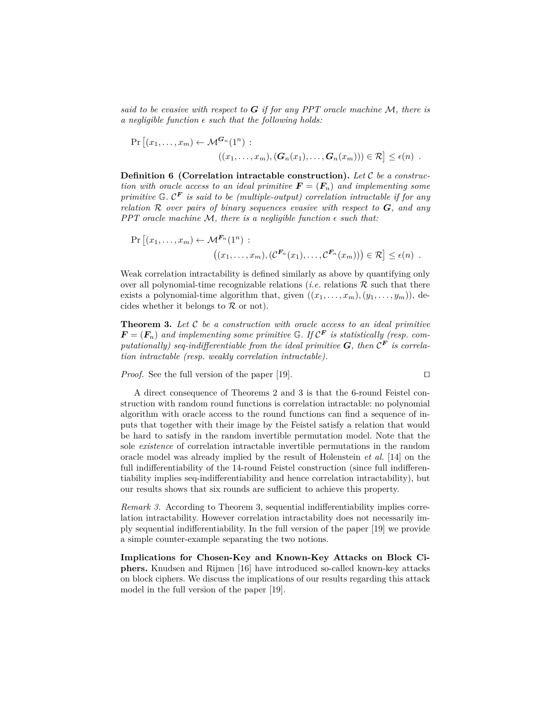*said to be evasive with respect to G if for any PPT oracle machine* M*, there is a negligible function*  $\epsilon$  *such that the following holds:* 

$$
\Pr\left[(x_1,\ldots,x_m)\leftarrow \mathcal{M}^{\mathbf{G}_n}(1^n) :\\ ((x_1,\ldots,x_m),(\mathbf{G}_n(x_1),\ldots,\mathbf{G}_n(x_m)))\in \mathcal{R}\right] \leq \epsilon(n) .
$$

**Definition 6 (Correlation intractable construction).** *Let* C *be a construction with oracle access to an ideal primitive*  $\mathbf{F} = (\mathbf{F}_n)$  *and implementing some primitive* G*.* C *<sup>F</sup> is said to be (multiple-output) correlation intractable if for any relation* R *over pairs of binary sequences evasive with respect to G, and any PPT* oracle machine M, there is a negligible function  $\epsilon$  such that:

$$
\Pr\left[(x_1,\ldots,x_m)\leftarrow \mathcal{M}^{\mathbf{F}_n}(1^n) : \\
((x_1,\ldots,x_m),(C^{\mathbf{F}_n}(x_1),\ldots,C^{\mathbf{F}_n}(x_m)))\in \mathcal{R}\right] \leq \epsilon(n) .
$$

Weak correlation intractability is defined similarly as above by quantifying only over all polynomial-time recognizable relations (*i.e.* relations  $R$  such that there exists a polynomial-time algorithm that, given  $((x_1, \ldots, x_m), (y_1, \ldots, y_m))$ , decides whether it belongs to  $\mathcal R$  or not).

**Theorem 3.** *Let* C *be a construction with oracle access to an ideal primitive*  $\mathbf{F} = (\mathbf{F}_n)$  and implementing some primitive  $\mathbb{G}$ . If  $\mathcal{C}^{\mathbf{F}}$  is statistically (resp. com*putationally)* seq-indifferentiable from the ideal primitive  $G$ , then  $\mathcal{C}^F$  is correla*tion intractable (resp. weakly correlation intractable).*

*Proof.* See the full version of the paper [19].

$$
\square
$$

A direct consequence of Theorems 2 and 3 is that the 6-round Feistel construction with random round functions is correlation intractable: no polynomial algorithm with oracle access to the round functions can find a sequence of inputs that together with their image by the Feistel satisfy a relation that would be hard to satisfy in the random invertible permutation model. Note that the sole *existence* of correlation intractable invertible permutations in the random oracle model was already implied by the result of Holenstein *et al.* [14] on the full indifferentiability of the 14-round Feistel construction (since full indifferentiability implies seq-indifferentiability and hence correlation intractability), but our results shows that six rounds are sufficient to achieve this property.

*Remark 3.* According to Theorem 3, sequential indifferentiability implies correlation intractability. However correlation intractability does not necessarily imply sequential indifferentiability. In the full version of the paper [19] we provide a simple counter-example separating the two notions.

**Implications for Chosen-Key and Known-Key Attacks on Block Ciphers.** Knudsen and Rijmen [16] have introduced so-called known-key attacks on block ciphers. We discuss the implications of our results regarding this attack model in the full version of the paper [19].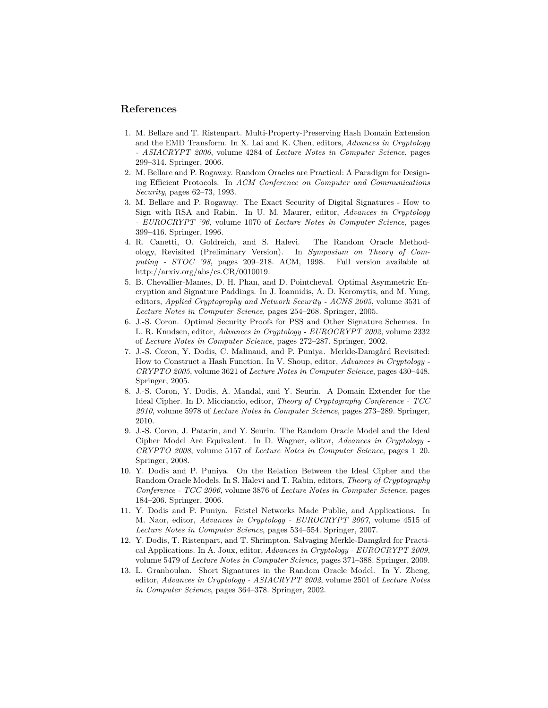# **References**

- 1. M. Bellare and T. Ristenpart. Multi-Property-Preserving Hash Domain Extension and the EMD Transform. In X. Lai and K. Chen, editors, *Advances in Cryptology - ASIACRYPT 2006*, volume 4284 of *Lecture Notes in Computer Science*, pages 299–314. Springer, 2006.
- 2. M. Bellare and P. Rogaway. Random Oracles are Practical: A Paradigm for Designing Efficient Protocols. In *ACM Conference on Computer and Communications Security*, pages 62–73, 1993.
- 3. M. Bellare and P. Rogaway. The Exact Security of Digital Signatures How to Sign with RSA and Rabin. In U. M. Maurer, editor, *Advances in Cryptology - EUROCRYPT '96*, volume 1070 of *Lecture Notes in Computer Science*, pages 399–416. Springer, 1996.
- 4. R. Canetti, O. Goldreich, and S. Halevi. The Random Oracle Methodology, Revisited (Preliminary Version). In *Symposium on Theory of Computing - STOC '98*, pages 209–218. ACM, 1998. Full version available at http://arxiv.org/abs/cs.CR/0010019.
- 5. B. Chevallier-Mames, D. H. Phan, and D. Pointcheval. Optimal Asymmetric Encryption and Signature Paddings. In J. Ioannidis, A. D. Keromytis, and M. Yung, editors, *Applied Cryptography and Network Security - ACNS 2005*, volume 3531 of *Lecture Notes in Computer Science*, pages 254–268. Springer, 2005.
- 6. J.-S. Coron. Optimal Security Proofs for PSS and Other Signature Schemes. In L. R. Knudsen, editor, *Advances in Cryptology - EUROCRYPT 2002*, volume 2332 of *Lecture Notes in Computer Science*, pages 272–287. Springer, 2002.
- 7. J.-S. Coron, Y. Dodis, C. Malinaud, and P. Puniya. Merkle-Damgård Revisited: How to Construct a Hash Function. In V. Shoup, editor, *Advances in Cryptology - CRYPTO 2005*, volume 3621 of *Lecture Notes in Computer Science*, pages 430–448. Springer, 2005.
- 8. J.-S. Coron, Y. Dodis, A. Mandal, and Y. Seurin. A Domain Extender for the Ideal Cipher. In D. Micciancio, editor, *Theory of Cryptography Conference - TCC 2010*, volume 5978 of *Lecture Notes in Computer Science*, pages 273–289. Springer, 2010.
- 9. J.-S. Coron, J. Patarin, and Y. Seurin. The Random Oracle Model and the Ideal Cipher Model Are Equivalent. In D. Wagner, editor, *Advances in Cryptology - CRYPTO 2008*, volume 5157 of *Lecture Notes in Computer Science*, pages 1–20. Springer, 2008.
- 10. Y. Dodis and P. Puniya. On the Relation Between the Ideal Cipher and the Random Oracle Models. In S. Halevi and T. Rabin, editors, *Theory of Cryptography Conference - TCC 2006*, volume 3876 of *Lecture Notes in Computer Science*, pages 184–206. Springer, 2006.
- 11. Y. Dodis and P. Puniya. Feistel Networks Made Public, and Applications. In M. Naor, editor, *Advances in Cryptology - EUROCRYPT 2007*, volume 4515 of *Lecture Notes in Computer Science*, pages 534–554. Springer, 2007.
- 12. Y. Dodis, T. Ristenpart, and T. Shrimpton. Salvaging Merkle-Damgård for Practical Applications. In A. Joux, editor, *Advances in Cryptology - EUROCRYPT 2009*, volume 5479 of *Lecture Notes in Computer Science*, pages 371–388. Springer, 2009.
- 13. L. Granboulan. Short Signatures in the Random Oracle Model. In Y. Zheng, editor, *Advances in Cryptology - ASIACRYPT 2002*, volume 2501 of *Lecture Notes in Computer Science*, pages 364–378. Springer, 2002.